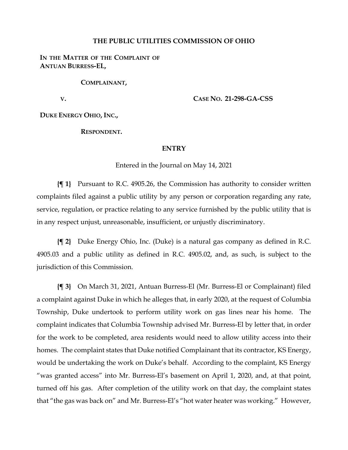#### **THE PUBLIC UTILITIES COMMISSION OF OHIO**

### IN THE MATTER OF THE COMPLAINT OF **ANTUAN BURRESS-EL,**

**COMPLAINANT,**

**V.**

**CASE NO. 21-298-GA-CSS**

**DUKE ENERGY OHIO, INC.,**

**RESPONDENT.**

#### **ENTRY**

#### Entered in the Journal on May 14, 2021

**{¶ 1}** Pursuant to R.C. 4905.26, the Commission has authority to consider written complaints filed against a public utility by any person or corporation regarding any rate, service, regulation, or practice relating to any service furnished by the public utility that is in any respect unjust, unreasonable, insufficient, or unjustly discriminatory.

**{¶ 2}** Duke Energy Ohio, Inc. (Duke) is a natural gas company as defined in R.C. 4905.03 and a public utility as defined in R.C. 4905.02, and, as such, is subject to the jurisdiction of this Commission.

**{¶ 3}** On March 31, 2021, Antuan Burress-El (Mr. Burress-El or Complainant) filed a complaint against Duke in which he alleges that, in early 2020, at the request of Columbia Township, Duke undertook to perform utility work on gas lines near his home. The complaint indicates that Columbia Township advised Mr. Burress-El by letter that, in order for the work to be completed, area residents would need to allow utility access into their homes. The complaint states that Duke notified Complainant that its contractor, KS Energy, would be undertaking the work on Duke's behalf. According to the complaint, KS Energy "was granted access" into Mr. Burress-El's basement on April 1, 2020, and, at that point, turned off his gas. After completion of the utility work on that day, the complaint states that "the gas was back on" and Mr. Burress-El's "hot water heater was working." However,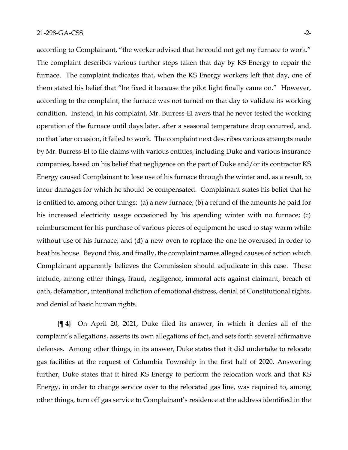according to Complainant, "the worker advised that he could not get my furnace to work." The complaint describes various further steps taken that day by KS Energy to repair the furnace. The complaint indicates that, when the KS Energy workers left that day, one of them stated his belief that "he fixed it because the pilot light finally came on." However, according to the complaint, the furnace was not turned on that day to validate its working condition. Instead, in his complaint, Mr. Burress-El avers that he never tested the working operation of the furnace until days later, after a seasonal temperature drop occurred, and, on that later occasion, it failed to work. The complaint next describes various attempts made by Mr. Burress-El to file claims with various entities, including Duke and various insurance companies, based on his belief that negligence on the part of Duke and/or its contractor KS Energy caused Complainant to lose use of his furnace through the winter and, as a result, to incur damages for which he should be compensated. Complainant states his belief that he is entitled to, among other things: (a) a new furnace; (b) a refund of the amounts he paid for his increased electricity usage occasioned by his spending winter with no furnace; (c) reimbursement for his purchase of various pieces of equipment he used to stay warm while without use of his furnace; and (d) a new oven to replace the one he overused in order to heat his house. Beyond this, and finally, the complaint names alleged causes of action which Complainant apparently believes the Commission should adjudicate in this case. These include, among other things, fraud, negligence, immoral acts against claimant, breach of oath, defamation, intentional infliction of emotional distress, denial of Constitutional rights, and denial of basic human rights.

**{¶ 4}** On April 20, 2021, Duke filed its answer, in which it denies all of the complaint's allegations, asserts its own allegations of fact, and sets forth several affirmative defenses. Among other things, in its answer, Duke states that it did undertake to relocate gas facilities at the request of Columbia Township in the first half of 2020. Answering further, Duke states that it hired KS Energy to perform the relocation work and that KS Energy, in order to change service over to the relocated gas line, was required to, among other things, turn off gas service to Complainant's residence at the address identified in the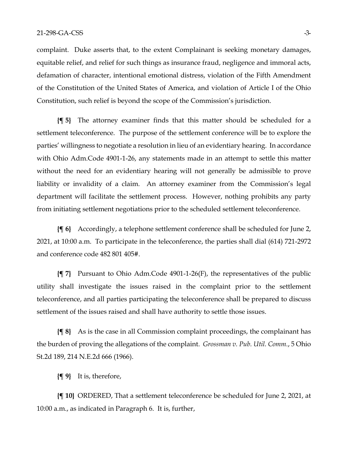complaint. Duke asserts that, to the extent Complainant is seeking monetary damages, equitable relief, and relief for such things as insurance fraud, negligence and immoral acts, defamation of character, intentional emotional distress, violation of the Fifth Amendment of the Constitution of the United States of America, and violation of Article I of the Ohio Constitution, such relief is beyond the scope of the Commission's jurisdiction.

**{¶ 5}** The attorney examiner finds that this matter should be scheduled for a settlement teleconference. The purpose of the settlement conference will be to explore the parties' willingness to negotiate a resolution in lieu of an evidentiary hearing. In accordance with Ohio Adm.Code 4901-1-26, any statements made in an attempt to settle this matter without the need for an evidentiary hearing will not generally be admissible to prove liability or invalidity of a claim. An attorney examiner from the Commission's legal department will facilitate the settlement process. However, nothing prohibits any party from initiating settlement negotiations prior to the scheduled settlement teleconference.

**{¶ 6}** Accordingly, a telephone settlement conference shall be scheduled for June 2, 2021, at 10:00 a.m. To participate in the teleconference, the parties shall dial (614) 721-2972 and conference code 482 801 405#.

**{¶ 7}** Pursuant to Ohio Adm.Code 4901-1-26(F), the representatives of the public utility shall investigate the issues raised in the complaint prior to the settlement teleconference, and all parties participating the teleconference shall be prepared to discuss settlement of the issues raised and shall have authority to settle those issues.

**{¶ 8}** As is the case in all Commission complaint proceedings, the complainant has the burden of proving the allegations of the complaint. *Grossman v. Pub. Util. Comm.*, 5 Ohio St.2d 189, 214 N.E.2d 666 (1966).

**{¶ 9}** It is, therefore,

**{¶ 10}** ORDERED, That a settlement teleconference be scheduled for June 2, 2021, at 10:00 a.m., as indicated in Paragraph 6. It is, further,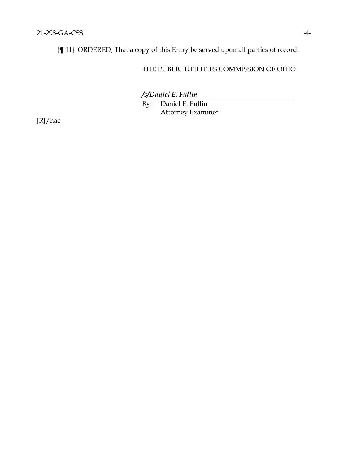**{¶ 11}** ORDERED, That a copy of this Entry be served upon all parties of record.

## THE PUBLIC UTILITIES COMMISSION OF OHIO

*/s/Daniel E. Fullin*

By: Daniel E. Fullin Attorney Examiner

JRJ/hac